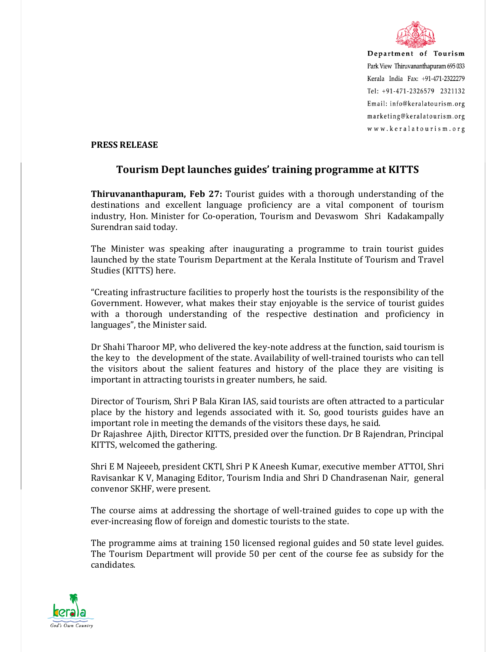

Department of Tourism Park View Thiruvananthapuram 695 033 Kerala India Fax: +91-471-2322279 Tel: +91-471-2326579 2321132 Email: info@keralatourism.org marketing@keralatourism.org www.keralatourism.org

## **PRESS RELEASE**

## **Tourism Dept launches guides' training programme at KITTS**

**Thiruvananthapuram, Feb 27:** Tourist guides with a thorough understanding of the destinations and excellent language proficiency are a vital component of tourism industry, Hon. Minister for Co-operation, Tourism and Devaswom Shri Kadakampally Surendran said today.

The Minister was speaking after inaugurating a programme to train tourist guides launched by the state Tourism Department at the Kerala Institute of Tourism and Travel Studies (KITTS) here.

"Creating infrastructure facilities to properly host the tourists is the responsibility of the Government. However, what makes their stay enjoyable is the service of tourist guides with a thorough understanding of the respective destination and proficiency in languages", the Minister said.

Dr Shahi Tharoor MP, who delivered the key-note address at the function, said tourism is the key to the development of the state. Availability of well-trained tourists who can tell the visitors about the salient features and history of the place they are visiting is important in attracting tourists in greater numbers, he said.

Director of Tourism, Shri P Bala Kiran IAS, said tourists are often attracted to a particular place by the history and legends associated with it. So, good tourists guides have an important role in meeting the demands of the visitors these days, he said.

Dr Rajashree Ajith, Director KITTS, presided over the function. Dr B Rajendran, Principal KITTS, welcomed the gathering.

Shri E M Najeeeb, president CKTI, Shri P K Aneesh Kumar, executive member ATTOI, Shri Ravisankar K V, Managing Editor, Tourism India and Shri D Chandrasenan Nair, general convenor SKHF, were present.

The course aims at addressing the shortage of well-trained guides to cope up with the ever-increasing flow of foreign and domestic tourists to the state.

The programme aims at training 150 licensed regional guides and 50 state level guides. The Tourism Department will provide 50 per cent of the course fee as subsidy for the candidates.